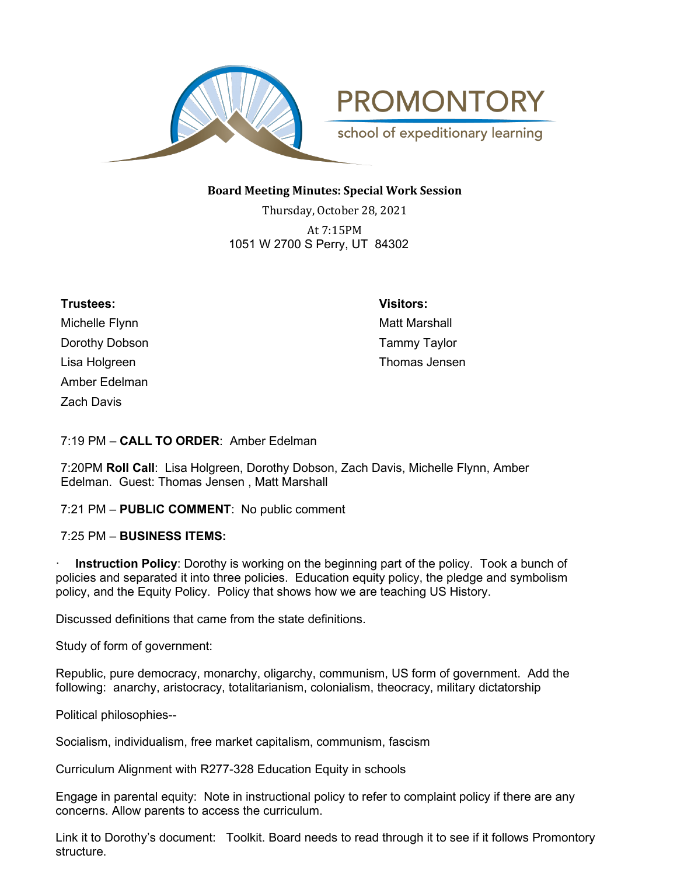



## **Board Meeting Minutes: Special Work Session**

Thursday, October 28, 2021 At 7:15PM 1051 W 2700 S Perry, UT 84302

| Trustees:         | <b>Visitors:</b>     |
|-------------------|----------------------|
| Michelle Flynn    | <b>Matt Marshall</b> |
| Dorothy Dobson    | <b>Tammy Taylor</b>  |
| Lisa Holgreen     | Thomas Jensen        |
| Amber Edelman     |                      |
| <b>Zach Davis</b> |                      |

## 7:19 PM – **CALL TO ORDER**: Amber Edelman

7:20PM **Roll Call**: Lisa Holgreen, Dorothy Dobson, Zach Davis, Michelle Flynn, Amber Edelman. Guest: Thomas Jensen , Matt Marshall

#### 7:21 PM – **PUBLIC COMMENT**: No public comment

#### 7:25 PM – **BUSINESS ITEMS:**

**Instruction Policy**: Dorothy is working on the beginning part of the policy. Took a bunch of policies and separated it into three policies. Education equity policy, the pledge and symbolism policy, and the Equity Policy. Policy that shows how we are teaching US History.

Discussed definitions that came from the state definitions.

Study of form of government:

Republic, pure democracy, monarchy, oligarchy, communism, US form of government. Add the following: anarchy, aristocracy, totalitarianism, colonialism, theocracy, military dictatorship

Political philosophies--

Socialism, individualism, free market capitalism, communism, fascism

Curriculum Alignment with R277-328 Education Equity in schools

Engage in parental equity: Note in instructional policy to refer to complaint policy if there are any concerns. Allow parents to access the curriculum.

Link it to Dorothy's document: Toolkit. Board needs to read through it to see if it follows Promontory structure.